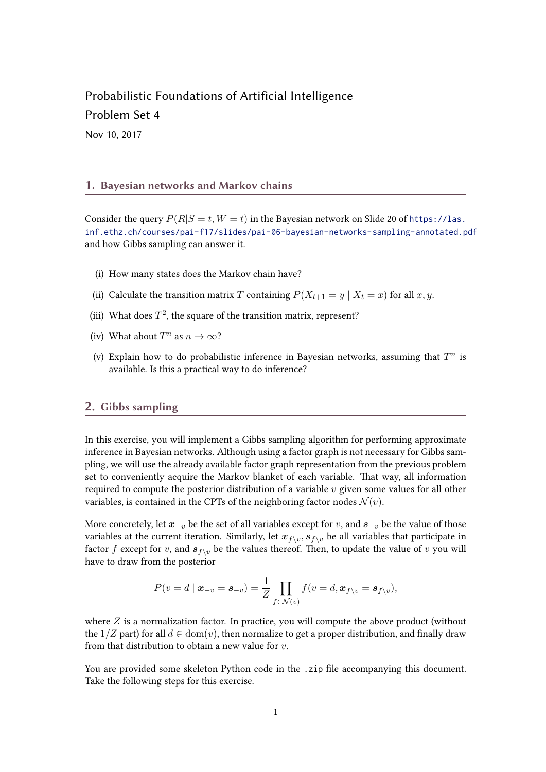## Probabilistic Foundations of Artificial Intelligence Problem Set 4

Nov 10, 2017

## 1. Bayesian networks and Markov chains

Consider the query  $P(R|S = t, W = t)$  in the Bayesian network on Slide 20 of [https://las.](https://las.inf.ethz.ch/courses/pai-f17/slides/pai-06-bayesian-networks-sampling-annotated.pdf) [inf.ethz.ch/courses/pai-f17/slides/pai-06-bayesian-networks-sampling-annotated.pdf](https://las.inf.ethz.ch/courses/pai-f17/slides/pai-06-bayesian-networks-sampling-annotated.pdf) and how Gibbs sampling can answer it.

- (i) How many states does the Markov chain have?
- (ii) Calculate the transition matrix T containing  $P(X_{t+1} = y | X_t = x)$  for all  $x, y$ .
- (iii) What does  $T^2$ , the square of the transition matrix, represent?
- (iv) What about  $T^n$  as  $n \to \infty$ ?
- (v) Explain how to do probabilistic inference in Bayesian networks, assuming that  $T^n$  is available. Is this a practical way to do inference?

## 2. Gibbs sampling

In this exercise, you will implement a Gibbs sampling algorithm for performing approximate inference in Bayesian networks. Although using a factor graph is not necessary for Gibbs sampling, we will use the already available factor graph representation from the previous problem set to conveniently acquire the Markov blanket of each variable. That way, all information required to compute the posterior distribution of a variable  $v$  given some values for all other variables, is contained in the CPTs of the neighboring factor nodes  $\mathcal{N}(v)$ .

More concretely, let  $x_{-v}$  be the set of all variables except for v, and  $s_{-v}$  be the value of those variables at the current iteration. Similarly, let  $x_{f\setminus v}, s_{f\setminus v}$  be all variables that participate in factor f except for v, and  $s_{f\setminus v}$  be the values thereof. Then, to update the value of v you will have to draw from the posterior

$$
P(v = d \mid \boldsymbol{x}_{-v} = \boldsymbol{s}_{-v}) = \frac{1}{Z} \prod_{f \in \mathcal{N}(v)} f(v = d, \boldsymbol{x}_{f \setminus v} = \boldsymbol{s}_{f \setminus v}),
$$

where  $Z$  is a normalization factor. In practice, you will compute the above product (without the  $1/Z$  part) for all  $d \in \text{dom}(v)$ , then normalize to get a proper distribution, and finally draw from that distribution to obtain a new value for  $v$ .

You are provided some skeleton Python code in the .zip file accompanying this document. Take the following steps for this exercise.